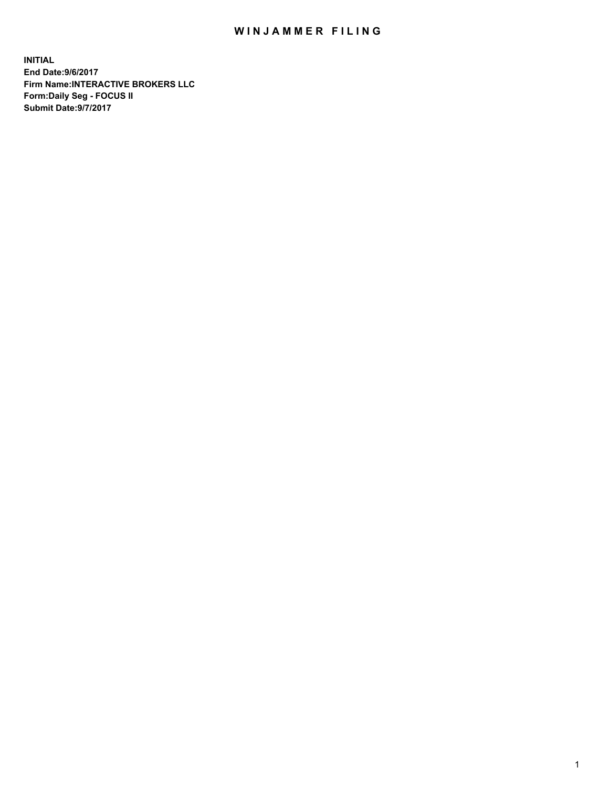## WIN JAMMER FILING

**INITIAL End Date:9/6/2017 Firm Name:INTERACTIVE BROKERS LLC Form:Daily Seg - FOCUS II Submit Date:9/7/2017**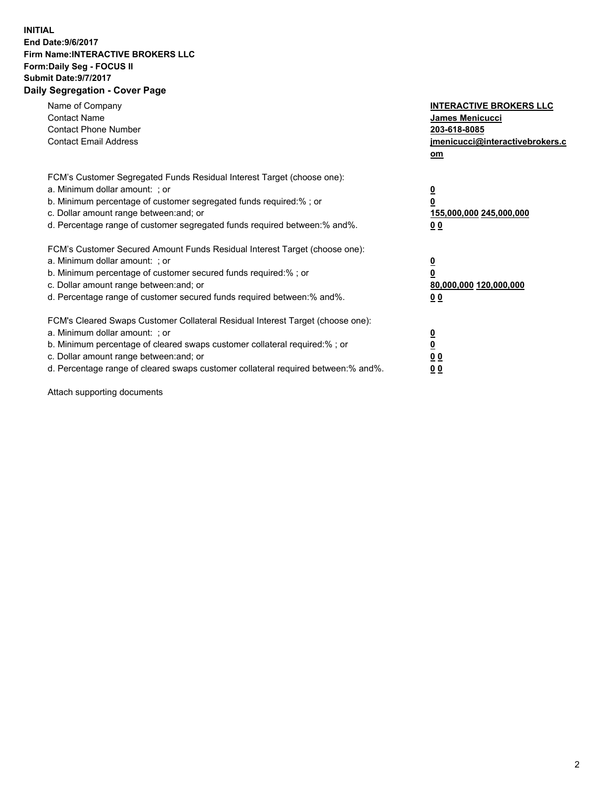## **INITIAL End Date:9/6/2017 Firm Name:INTERACTIVE BROKERS LLC Form:Daily Seg - FOCUS II Submit Date:9/7/2017 Daily Segregation - Cover Page**

| Name of Company<br><b>Contact Name</b><br><b>Contact Phone Number</b><br><b>Contact Email Address</b>                                                                                                                                                                                                                          | <b>INTERACTIVE BROKERS LLC</b><br>James Menicucci<br>203-618-8085<br>jmenicucci@interactivebrokers.c<br>om |
|--------------------------------------------------------------------------------------------------------------------------------------------------------------------------------------------------------------------------------------------------------------------------------------------------------------------------------|------------------------------------------------------------------------------------------------------------|
| FCM's Customer Segregated Funds Residual Interest Target (choose one):<br>a. Minimum dollar amount: ; or<br>b. Minimum percentage of customer segregated funds required:% ; or<br>c. Dollar amount range between: and; or<br>d. Percentage range of customer segregated funds required between:% and%.                         | $\overline{\mathbf{0}}$<br>0<br>155,000,000 245,000,000<br>0 <sub>0</sub>                                  |
| FCM's Customer Secured Amount Funds Residual Interest Target (choose one):<br>a. Minimum dollar amount: ; or<br>b. Minimum percentage of customer secured funds required:%; or<br>c. Dollar amount range between: and; or<br>d. Percentage range of customer secured funds required between: % and %.                          | $\overline{\mathbf{0}}$<br>0<br>80,000,000 120,000,000<br>0 <sub>0</sub>                                   |
| FCM's Cleared Swaps Customer Collateral Residual Interest Target (choose one):<br>a. Minimum dollar amount: ; or<br>b. Minimum percentage of cleared swaps customer collateral required:% ; or<br>c. Dollar amount range between: and; or<br>d. Percentage range of cleared swaps customer collateral required between:% and%. | $\overline{\mathbf{0}}$<br>$\overline{\mathbf{0}}$<br>0 <sub>0</sub><br>0 <sub>0</sub>                     |

Attach supporting documents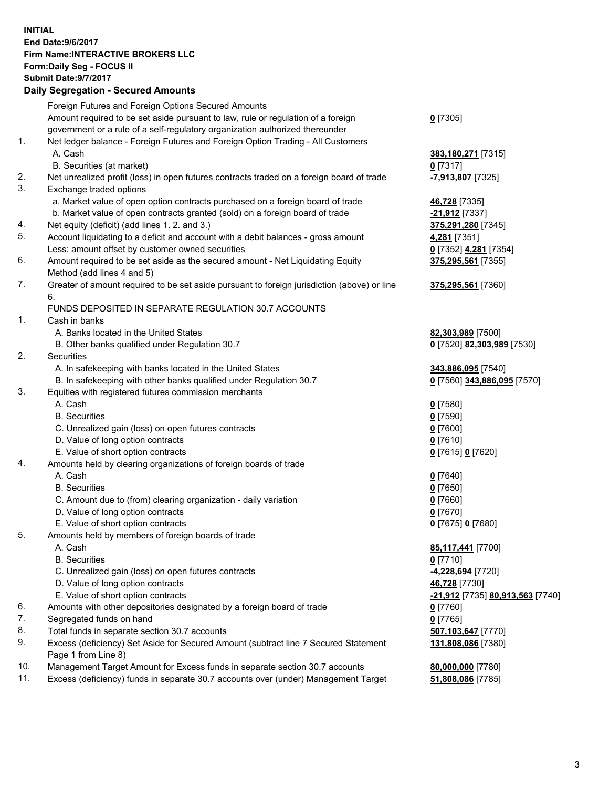## **INITIAL End Date:9/6/2017 Firm Name:INTERACTIVE BROKERS LLC Form:Daily Seg - FOCUS II Submit Date:9/7/2017 Daily Segregation - Secured Amounts**

|     | Foreign Futures and Foreign Options Secured Amounts                                         |                                  |
|-----|---------------------------------------------------------------------------------------------|----------------------------------|
|     | Amount required to be set aside pursuant to law, rule or regulation of a foreign            | $0$ [7305]                       |
|     | government or a rule of a self-regulatory organization authorized thereunder                |                                  |
| 1.  | Net ledger balance - Foreign Futures and Foreign Option Trading - All Customers             |                                  |
|     | A. Cash                                                                                     | 383,180,271 [7315]               |
|     | B. Securities (at market)                                                                   | $0$ [7317]                       |
| 2.  | Net unrealized profit (loss) in open futures contracts traded on a foreign board of trade   | -7,913,807 [7325]                |
| 3.  | Exchange traded options                                                                     |                                  |
|     | a. Market value of open option contracts purchased on a foreign board of trade              | 46,728 [7335]                    |
|     | b. Market value of open contracts granted (sold) on a foreign board of trade                | -21,912 [7337]                   |
| 4.  | Net equity (deficit) (add lines 1.2. and 3.)                                                | 375,291,280 [7345]               |
| 5.  | Account liquidating to a deficit and account with a debit balances - gross amount           | 4,281 [7351]                     |
|     | Less: amount offset by customer owned securities                                            | 0 [7352] 4,281 [7354]            |
| 6.  | Amount required to be set aside as the secured amount - Net Liquidating Equity              | 375,295,561 [7355]               |
|     | Method (add lines 4 and 5)                                                                  |                                  |
| 7.  | Greater of amount required to be set aside pursuant to foreign jurisdiction (above) or line | 375,295,561 [7360]               |
|     | 6.                                                                                          |                                  |
|     | FUNDS DEPOSITED IN SEPARATE REGULATION 30.7 ACCOUNTS                                        |                                  |
| 1.  | Cash in banks                                                                               |                                  |
|     | A. Banks located in the United States                                                       | 82,303,989 [7500]                |
|     | B. Other banks qualified under Regulation 30.7                                              | 0 [7520] 82,303,989 [7530]       |
| 2.  | Securities                                                                                  |                                  |
|     | A. In safekeeping with banks located in the United States                                   | 343,886,095 [7540]               |
|     | B. In safekeeping with other banks qualified under Regulation 30.7                          | 0 [7560] 343,886,095 [7570]      |
| 3.  | Equities with registered futures commission merchants                                       |                                  |
|     | A. Cash                                                                                     | $0$ [7580]                       |
|     | <b>B.</b> Securities                                                                        | $0$ [7590]                       |
|     | C. Unrealized gain (loss) on open futures contracts                                         | $0$ [7600]                       |
|     | D. Value of long option contracts                                                           | $0$ [7610]                       |
|     | E. Value of short option contracts                                                          | 0 [7615] 0 [7620]                |
| 4.  | Amounts held by clearing organizations of foreign boards of trade                           |                                  |
|     | A. Cash                                                                                     | $0$ [7640]                       |
|     | <b>B.</b> Securities                                                                        | $0$ [7650]                       |
|     | C. Amount due to (from) clearing organization - daily variation                             | $0$ [7660]                       |
|     | D. Value of long option contracts                                                           | $0$ [7670]                       |
|     | E. Value of short option contracts                                                          | 0 [7675] 0 [7680]                |
| 5.  | Amounts held by members of foreign boards of trade                                          |                                  |
|     | A. Cash                                                                                     | 85,117,441 [7700]                |
|     | <b>B.</b> Securities                                                                        | $0$ [7710]                       |
|     | C. Unrealized gain (loss) on open futures contracts                                         | -4,228,694 [7720]                |
|     | D. Value of long option contracts                                                           | 46,728 [7730]                    |
|     | E. Value of short option contracts                                                          | -21,912 [7735] 80,913,563 [7740] |
| 6.  | Amounts with other depositories designated by a foreign board of trade                      | $0$ [7760]                       |
| 7.  | Segregated funds on hand                                                                    | $0$ [7765]                       |
| 8.  | Total funds in separate section 30.7 accounts                                               | 507,103,647 [7770]               |
| 9.  | Excess (deficiency) Set Aside for Secured Amount (subtract line 7 Secured Statement         | 131,808,086 [7380]               |
|     | Page 1 from Line 8)                                                                         |                                  |
| 10. | Management Target Amount for Excess funds in separate section 30.7 accounts                 | 80,000,000 [7780]                |
| 11. | Excess (deficiency) funds in separate 30.7 accounts over (under) Management Target          | 51,808,086 [7785]                |
|     |                                                                                             |                                  |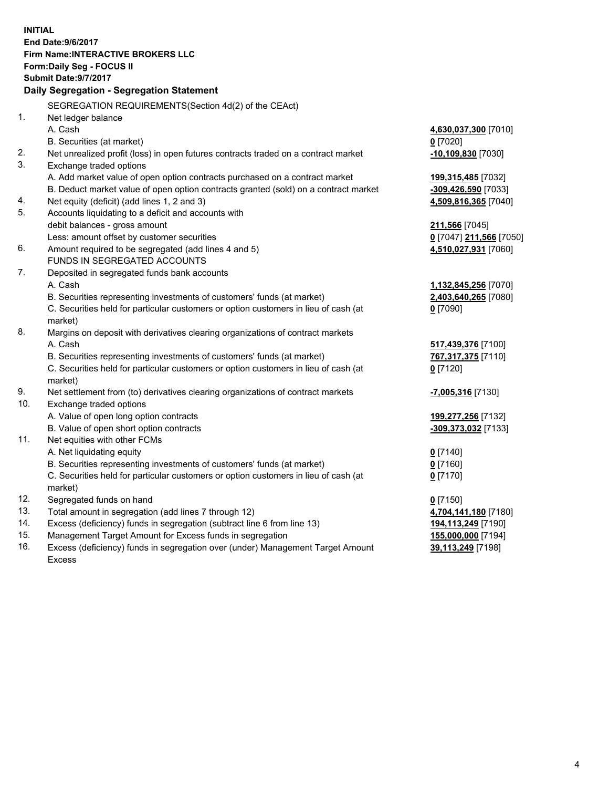**INITIAL End Date:9/6/2017 Firm Name:INTERACTIVE BROKERS LLC Form:Daily Seg - FOCUS II Submit Date:9/7/2017 Daily Segregation - Segregation Statement** SEGREGATION REQUIREMENTS(Section 4d(2) of the CEAct) 1. Net ledger balance A. Cash **4,630,037,300** [7010] B. Securities (at market) **0** [7020] 2. Net unrealized profit (loss) in open futures contracts traded on a contract market **-10,109,830** [7030] 3. Exchange traded options A. Add market value of open option contracts purchased on a contract market **199,315,485** [7032] B. Deduct market value of open option contracts granted (sold) on a contract market **-309,426,590** [7033] 4. Net equity (deficit) (add lines 1, 2 and 3) **4,509,816,365** [7040] 5. Accounts liquidating to a deficit and accounts with debit balances - gross amount **211,566** [7045] Less: amount offset by customer securities **0** [7047] **211,566** [7050] 6. Amount required to be segregated (add lines 4 and 5) **4,510,027,931** [7060] FUNDS IN SEGREGATED ACCOUNTS 7. Deposited in segregated funds bank accounts A. Cash **1,132,845,256** [7070] B. Securities representing investments of customers' funds (at market) **2,403,640,265** [7080] C. Securities held for particular customers or option customers in lieu of cash (at market) **0** [7090] 8. Margins on deposit with derivatives clearing organizations of contract markets A. Cash **517,439,376** [7100] B. Securities representing investments of customers' funds (at market) **767,317,375** [7110] C. Securities held for particular customers or option customers in lieu of cash (at market) **0** [7120] 9. Net settlement from (to) derivatives clearing organizations of contract markets **-7,005,316** [7130] 10. Exchange traded options A. Value of open long option contracts **199,277,256** [7132] B. Value of open short option contracts **-309,373,032** [7133] 11. Net equities with other FCMs A. Net liquidating equity **0** [7140] B. Securities representing investments of customers' funds (at market) **0** [7160] C. Securities held for particular customers or option customers in lieu of cash (at market) **0** [7170] 12. Segregated funds on hand **0** [7150] 13. Total amount in segregation (add lines 7 through 12) **4,704,141,180** [7180] 14. Excess (deficiency) funds in segregation (subtract line 6 from line 13) **194,113,249** [7190] 15. Management Target Amount for Excess funds in segregation **155,000,000** [7194] 16. Excess (deficiency) funds in segregation over (under) Management Target Amount Excess **39,113,249** [7198]